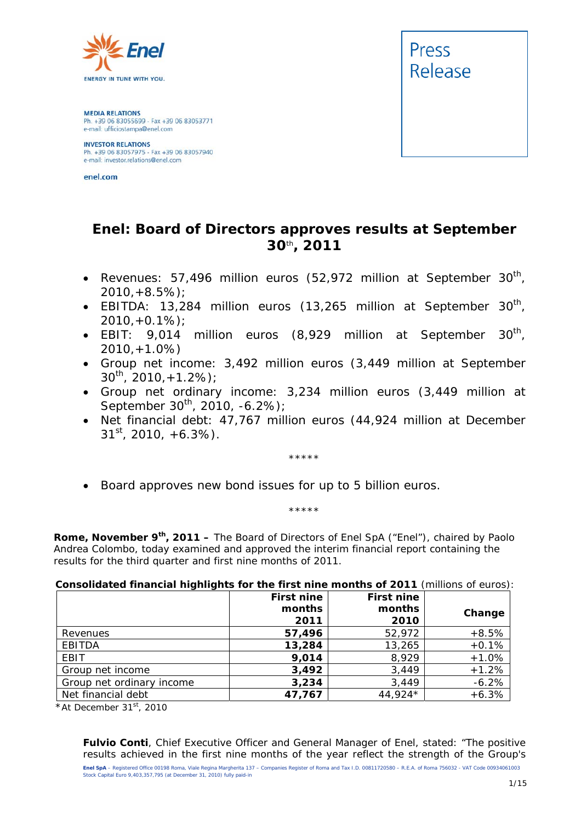

**MEDIA RELATIONS** Ph. +39 06 83055699 - Fax +39 06 83053771 e-mail: ufficiostampa@enel.com

**INVESTOR RELATIONS**<br>Ph. +39 06 83057975 - Fax +39 06 83057940<br>e-mail: investor.relations@enel.com

enel.com



# **Enel: Board of Directors approves results at September 30***th***, 2011**

- Revenues: 57,496 million euros (52,972 million at September 30<sup>th</sup>, *2010,+8.5%);*
- *EBITDA: 13,284 million euros (13,265 million at September 30th, 2010,+0.1%);*
- EBIT: 9,014 million euros (8,929 million at September 30<sup>th</sup>, *2010,+1.0%)*
- *Group net income: 3,492 million euros (3,449 million at September 30th, 2010,+1.2%);*
- *Group net ordinary income: 3,234 million euros (3,449 million at September 30th, 2010, -6.2%);*
- *Net financial debt: 47,767 million euros (44,924 million at December 31st, 2010, +6.3%).*

\*\*\*\*\*

*Board approves new bond issues for up to 5 billion euros.* 

\*\*\*\*\*

**Rome, November 9th, 2011 –** The Board of Directors of Enel SpA ("Enel"), chaired by Paolo Andrea Colombo, today examined and approved the interim financial report containing the results for the third quarter and first nine months of 2011.

#### **Consolidated financial highlights for the first nine months of 2011** (millions of euros):

|                           | <b>First nine</b> | <b>First nine</b> |         |
|---------------------------|-------------------|-------------------|---------|
|                           | months            | months            | Change  |
|                           | 2011              | 2010              |         |
| Revenues                  | 57,496            | 52,972            | $+8.5%$ |
| <b>EBITDA</b>             | 13,284            | 13,265            | $+0.1%$ |
| EBIT                      | 9,014             | 8,929             | $+1.0%$ |
| Group net income          | 3,492             | 3,449             | $+1.2%$ |
| Group net ordinary income | 3,234             | 3,449             | $-6.2%$ |
| Net financial debt        | 47,767            | 44,924*           | $+6.3%$ |

*\*At December 31st, 2010*

**Enel SpA** – Registered Office 00198 Roma, Viale Regina Margherita 137 – Companies Register of Roma and Tax I.D. 00811720580 – R.E.A. of Roma 756032 - VAT Code 00934061003 Stock Capital Euro 9,403,357,795 (at December 31, 2010) fully paid-in **Fulvio Conti**, Chief Executive Officer and General Manager of Enel, stated: "The positive results achieved in the first nine months of the year reflect the strength of the Group's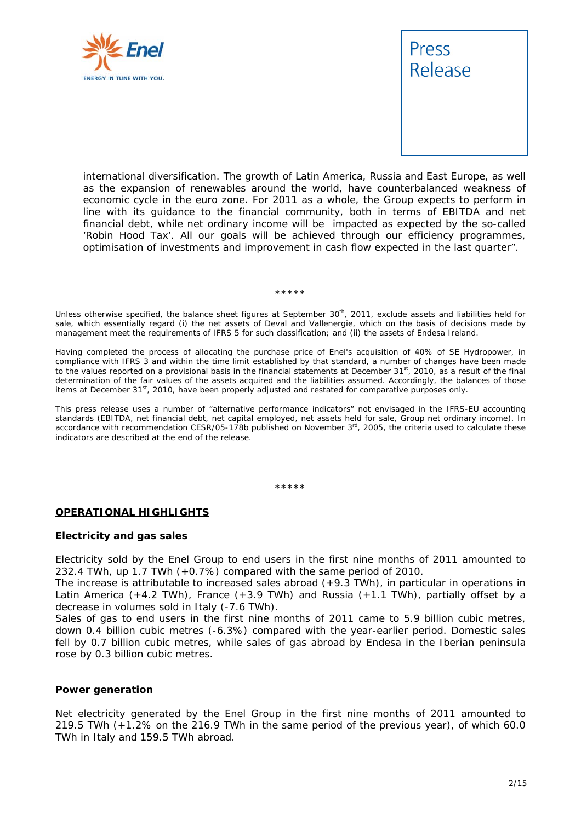



international diversification. The growth of Latin America, Russia and East Europe, as well as the expansion of renewables around the world, have counterbalanced weakness of economic cycle in the euro zone. For 2011 as a whole, the Group expects to perform in line with its guidance to the financial community, both in terms of EBITDA and net financial debt, while net ordinary income will be impacted as expected by the so-called 'Robin Hood Tax'. All our goals will be achieved through our efficiency programmes, optimisation of investments and improvement in cash flow expected in the last quarter".

#### \*\*\*\*\*

Unless otherwise specified, the balance sheet figures at September 30<sup>th</sup>, 2011, exclude assets and liabilities held for sale, which essentially regard (i) the net assets of Deval and Vallenergie, which on the basis of decisions made by management meet the requirements of IFRS 5 for such classification; and (ii) the assets of Endesa Ireland.

Having completed the process of allocating the purchase price of Enel's acquisition of 40% of SE Hydropower, in compliance with IFRS 3 and within the time limit established by that standard, a number of changes have been made to the values reported on a provisional basis in the financial statements at December 31<sup>st</sup>, 2010, as a result of the final determination of the fair values of the assets acquired and the liabilities assumed. Accordingly, the balances of those items at December  $31^{st}$ , 2010, have been properly adjusted and restated for comparative purposes only.

This press release uses a number of "alternative performance indicators" not envisaged in the IFRS-EU accounting standards (EBITDA, net financial debt, net capital employed, net assets held for sale, Group net ordinary income). In accordance with recommendation CESR/05-178b published on November 3<sup>rd</sup>, 2005, the criteria used to calculate these indicators are described at the end of the release.

#### \*\*\*\*\*

#### **OPERATIONAL HIGHLIGHTS**

#### **Electricity and gas sales**

Electricity sold by the Enel Group to end users in the first nine months of 2011 amounted to 232.4 TWh, up 1.7 TWh (+0.7%) compared with the same period of 2010.

The increase is attributable to increased sales abroad (+9.3 TWh), in particular in operations in Latin America (+4.2 TWh), France (+3.9 TWh) and Russia (+1.1 TWh), partially offset by a decrease in volumes sold in Italy (-7.6 TWh).

Sales of gas to end users in the first nine months of 2011 came to 5.9 billion cubic metres, down 0.4 billion cubic metres (-6.3%) compared with the year-earlier period. Domestic sales fell by 0.7 billion cubic metres, while sales of gas abroad by Endesa in the Iberian peninsula rose by 0.3 billion cubic metres.

#### **Power generation**

Net electricity generated by the Enel Group in the first nine months of 2011 amounted to 219.5 TWh (+1.2% on the 216.9 TWh in the same period of the previous year), of which 60.0 TWh in Italy and 159.5 TWh abroad.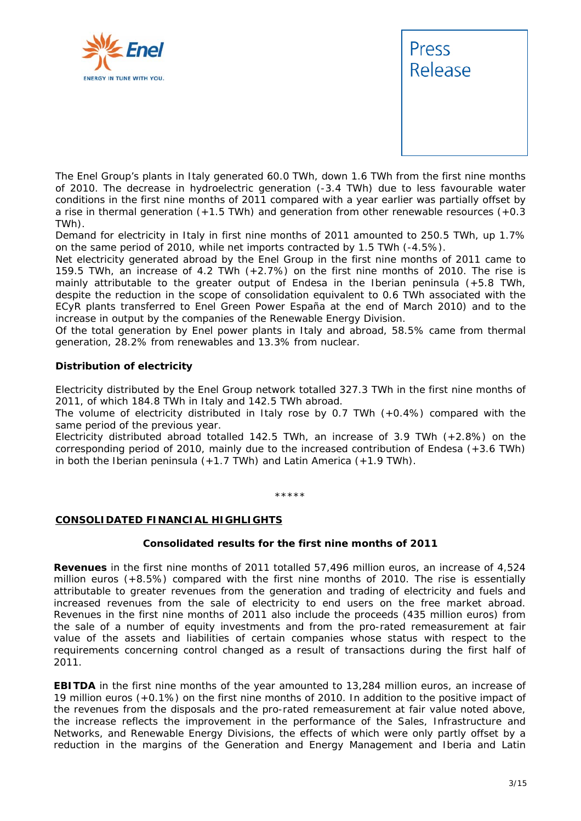



The Enel Group's plants in Italy generated 60.0 TWh, down 1.6 TWh from the first nine months of 2010. The decrease in hydroelectric generation (-3.4 TWh) due to less favourable water conditions in the first nine months of 2011 compared with a year earlier was partially offset by a rise in thermal generation  $(+1.5 \text{ TWh})$  and generation from other renewable resources  $(+0.3 \text{ TWh})$ TWh).

Demand for electricity in Italy in first nine months of 2011 amounted to 250.5 TWh, up 1.7% on the same period of 2010, while net imports contracted by 1.5 TWh (-4.5%).

Net electricity generated abroad by the Enel Group in the first nine months of 2011 came to 159.5 TWh, an increase of 4.2 TWh (+2.7%) on the first nine months of 2010. The rise is mainly attributable to the greater output of Endesa in the Iberian peninsula (+5.8 TWh, despite the reduction in the scope of consolidation equivalent to 0.6 TWh associated with the ECyR plants transferred to Enel Green Power España at the end of March 2010) and to the increase in output by the companies of the Renewable Energy Division.

Of the total generation by Enel power plants in Italy and abroad, 58.5% came from thermal generation, 28.2% from renewables and 13.3% from nuclear.

#### **Distribution of electricity**

Electricity distributed by the Enel Group network totalled 327.3 TWh in the first nine months of 2011, of which 184.8 TWh in Italy and 142.5 TWh abroad.

The volume of electricity distributed in Italy rose by 0.7 TWh (+0.4%) compared with the same period of the previous year.

Electricity distributed abroad totalled 142.5 TWh, an increase of 3.9 TWh (+2.8%) on the corresponding period of 2010, mainly due to the increased contribution of Endesa (+3.6 TWh) in both the Iberian peninsula (+1.7 TWh) and Latin America (+1.9 TWh).

\*\*\*\*\*

#### **CONSOLIDATED FINANCIAL HIGHLIGHTS**

#### **Consolidated results for the first nine months of 2011**

**Revenues** in the first nine months of 2011 totalled 57,496 million euros, an increase of 4,524 million euros (+8.5%) compared with the first nine months of 2010. The rise is essentially attributable to greater revenues from the generation and trading of electricity and fuels and increased revenues from the sale of electricity to end users on the free market abroad. Revenues in the first nine months of 2011 also include the proceeds (435 million euros) from the sale of a number of equity investments and from the pro-rated remeasurement at fair value of the assets and liabilities of certain companies whose status with respect to the requirements concerning control changed as a result of transactions during the first half of 2011.

**EBITDA** in the first nine months of the year amounted to 13,284 million euros, an increase of 19 million euros (+0.1%) on the first nine months of 2010. In addition to the positive impact of the revenues from the disposals and the pro-rated remeasurement at fair value noted above, the increase reflects the improvement in the performance of the Sales, Infrastructure and Networks, and Renewable Energy Divisions, the effects of which were only partly offset by a reduction in the margins of the Generation and Energy Management and Iberia and Latin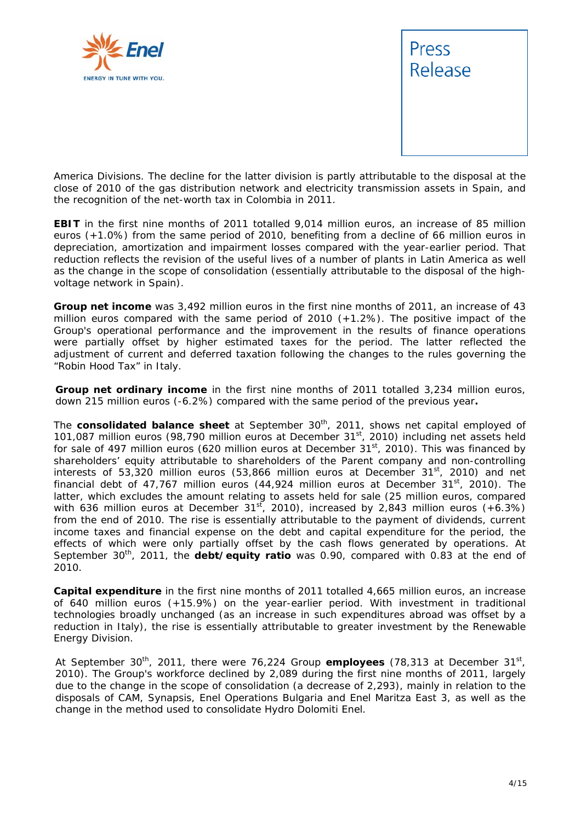



America Divisions. The decline for the latter division is partly attributable to the disposal at the close of 2010 of the gas distribution network and electricity transmission assets in Spain, and the recognition of the net-worth tax in Colombia in 2011.

**EBIT** in the first nine months of 2011 totalled 9,014 million euros, an increase of 85 million euros (+1.0%) from the same period of 2010, benefiting from a decline of 66 million euros in depreciation, amortization and impairment losses compared with the year-earlier period. That reduction reflects the revision of the useful lives of a number of plants in Latin America as well as the change in the scope of consolidation (essentially attributable to the disposal of the highvoltage network in Spain).

**Group net income** was 3,492 million euros in the first nine months of 2011, an increase of 43 million euros compared with the same period of 2010 (+1.2%). The positive impact of the Group's operational performance and the improvement in the results of finance operations were partially offset by higher estimated taxes for the period. The latter reflected the adjustment of current and deferred taxation following the changes to the rules governing the "Robin Hood Tax" in Italy.

**Group net ordinary income** in the first nine months of 2011 totalled 3,234 million euros, down 215 million euros (-6.2%) compared with the same period of the previous year**.**

The **consolidated balance sheet** at September 30<sup>th</sup>, 2011, shows net capital employed of 101,087 million euros (98,790 million euros at December 31<sup>st</sup>, 2010) including net assets held for sale of 497 million euros (620 million euros at December  $31<sup>st</sup>$ , 2010). This was financed by shareholders' equity attributable to shareholders of the Parent company and non-controlling interests of 53,320 million euros (53,866 million euros at December  $31<sup>st</sup>$ , 2010) and net financial debt of 47,767 million euros (44,924 million euros at December 31<sup>st</sup>, 2010). The latter, which excludes the amount relating to assets held for sale (25 million euros, compared with 636 million euros at December 31<sup>st</sup>, 2010), increased by 2,843 million euros (+6.3%) from the end of 2010. The rise is essentially attributable to the payment of dividends, current income taxes and financial expense on the debt and capital expenditure for the period, the effects of which were only partially offset by the cash flows generated by operations. At September 30<sup>th</sup>, 2011, the **debt/equity ratio** was 0.90, compared with 0.83 at the end of 2010.

**Capital expenditure** in the first nine months of 2011 totalled 4,665 million euros, an increase of 640 million euros (+15.9%) on the year-earlier period. With investment in traditional technologies broadly unchanged (as an increase in such expenditures abroad was offset by a reduction in Italy), the rise is essentially attributable to greater investment by the Renewable Energy Division.

At September 30<sup>th</sup>, 2011, there were 76,224 Group **employees** (78,313 at December 31<sup>st</sup>, 2010). The Group's workforce declined by 2,089 during the first nine months of 2011, largely due to the change in the scope of consolidation (a decrease of 2,293), mainly in relation to the disposals of CAM, Synapsis, Enel Operations Bulgaria and Enel Maritza East 3, as well as the change in the method used to consolidate Hydro Dolomiti Enel.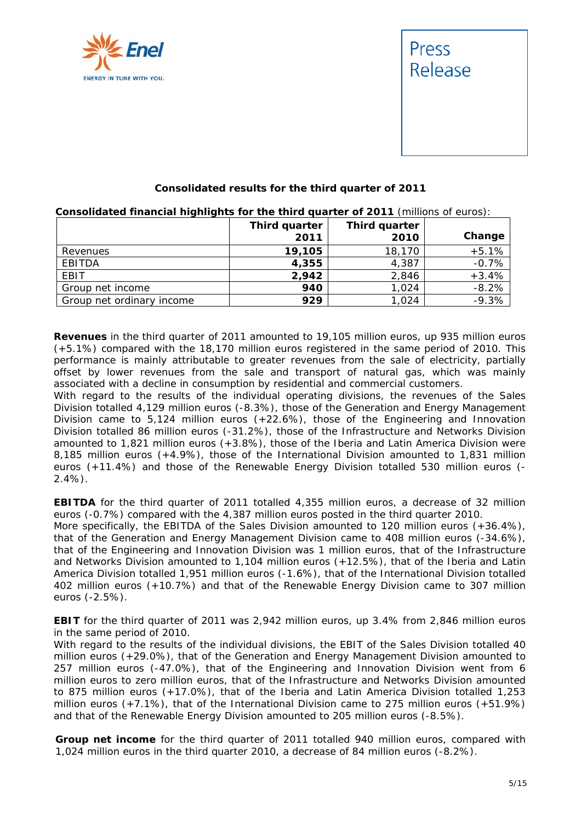



#### **Consolidated results for the third quarter of 2011**

**Consolidated financial highlights for the third quarter of 2011** (millions of euros):

|                           | Third quarter<br>2011 | Third quarter<br>2010 | Change  |
|---------------------------|-----------------------|-----------------------|---------|
| Revenues                  | 19,105                | 18,170                | $+5.1%$ |
| EBITDA                    | 4,355                 | 4,387                 | $-0.7%$ |
| <b>EBIT</b>               | 2,942                 | 2,846                 | $+3.4%$ |
| Group net income          | 940                   | 1,024                 | $-8.2%$ |
| Group net ordinary income | 929                   | 1,024                 | $-9.3%$ |

**Revenues** in the third quarter of 2011 amounted to 19,105 million euros, up 935 million euros (+5.1%) compared with the 18,170 million euros registered in the same period of 2010. This performance is mainly attributable to greater revenues from the sale of electricity, partially offset by lower revenues from the sale and transport of natural gas, which was mainly associated with a decline in consumption by residential and commercial customers.

With regard to the results of the individual operating divisions, the revenues of the Sales Division totalled 4,129 million euros (-8.3%), those of the Generation and Energy Management Division came to 5,124 million euros (+22.6%), those of the Engineering and Innovation Division totalled 86 million euros (-31.2%), those of the Infrastructure and Networks Division amounted to 1,821 million euros (+3.8%), those of the Iberia and Latin America Division were 8,185 million euros (+4.9%), those of the International Division amounted to 1,831 million euros (+11.4%) and those of the Renewable Energy Division totalled 530 million euros (- 2.4%).

**EBITDA** for the third quarter of 2011 totalled 4,355 million euros, a decrease of 32 million euros (-0.7%) compared with the 4,387 million euros posted in the third quarter 2010. More specifically, the EBITDA of the Sales Division amounted to 120 million euros (+36.4%), that of the Generation and Energy Management Division came to 408 million euros (-34.6%), that of the Engineering and Innovation Division was 1 million euros, that of the Infrastructure and Networks Division amounted to 1,104 million euros (+12.5%), that of the Iberia and Latin America Division totalled 1,951 million euros (-1.6%), that of the International Division totalled 402 million euros (+10.7%) and that of the Renewable Energy Division came to 307 million euros (-2.5%).

**EBIT** for the third quarter of 2011 was 2,942 million euros, up 3.4% from 2,846 million euros in the same period of 2010.

With regard to the results of the individual divisions, the EBIT of the Sales Division totalled 40 million euros (+29.0%), that of the Generation and Energy Management Division amounted to 257 million euros (-47.0%), that of the Engineering and Innovation Division went from 6 million euros to zero million euros, that of the Infrastructure and Networks Division amounted to 875 million euros (+17.0%), that of the Iberia and Latin America Division totalled 1,253 million euros (+7.1%), that of the International Division came to 275 million euros (+51.9%) and that of the Renewable Energy Division amounted to 205 million euros (-8.5%).

**Group net income** for the third quarter of 2011 totalled 940 million euros, compared with 1,024 million euros in the third quarter 2010, a decrease of 84 million euros (-8.2%).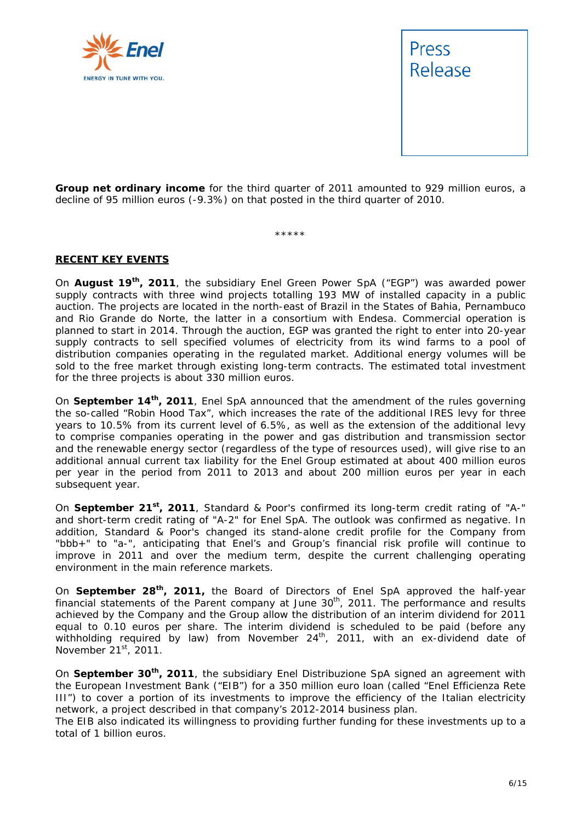



**Group net ordinary income** for the third quarter of 2011 amounted to 929 million euros, a decline of 95 million euros (-9.3%) on that posted in the third quarter of 2010.

\*\*\*\*\*

#### **RECENT KEY EVENTS**

On **August 19th, 2011**, the subsidiary Enel Green Power SpA ("EGP") was awarded power supply contracts with three wind projects totalling 193 MW of installed capacity in a public auction. The projects are located in the north-east of Brazil in the States of Bahia, Pernambuco and Rio Grande do Norte, the latter in a consortium with Endesa. Commercial operation is planned to start in 2014. Through the auction, EGP was granted the right to enter into 20-year supply contracts to sell specified volumes of electricity from its wind farms to a pool of distribution companies operating in the regulated market. Additional energy volumes will be sold to the free market through existing long-term contracts. The estimated total investment for the three projects is about 330 million euros.

On **September 14th, 2011**, Enel SpA announced that the amendment of the rules governing the so-called "Robin Hood Tax", which increases the rate of the additional IRES levy for three years to 10.5% from its current level of 6.5%, as well as the extension of the additional levy to comprise companies operating in the power and gas distribution and transmission sector and the renewable energy sector (regardless of the type of resources used), will give rise to an additional annual current tax liability for the Enel Group estimated at about 400 million euros per year in the period from 2011 to 2013 and about 200 million euros per year in each subsequent year.

On **September 21st, 2011**, Standard & Poor's confirmed its long-term credit rating of "A-" and short-term credit rating of "A-2" for Enel SpA. The outlook was confirmed as negative. In addition, Standard & Poor's changed its stand-alone credit profile for the Company from "bbb+" to "a-", anticipating that Enel's and Group's financial risk profile will continue to improve in 2011 and over the medium term, despite the current challenging operating environment in the main reference markets.

On **September 28th, 2011,** the Board of Directors of Enel SpA approved the half-year financial statements of the Parent company at June  $30<sup>th</sup>$ , 2011. The performance and results achieved by the Company and the Group allow the distribution of an interim dividend for 2011 equal to 0.10 euros per share. The interim dividend is scheduled to be paid (before any withholding required by law) from November  $24<sup>th</sup>$ , 2011, with an ex-dividend date of November 21<sup>st</sup>, 2011.

On **September 30th, 2011**, the subsidiary Enel Distribuzione SpA signed an agreement with the European Investment Bank ("EIB") for a 350 million euro loan (called "Enel Efficienza Rete III") to cover a portion of its investments to improve the efficiency of the Italian electricity network, a project described in that company's 2012-2014 business plan.

The EIB also indicated its willingness to providing further funding for these investments up to a total of 1 billion euros.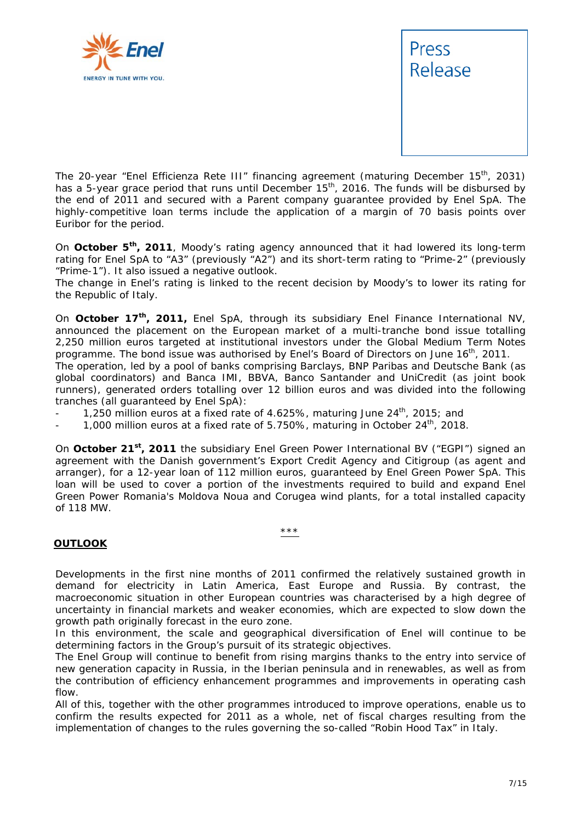



The 20-year "Enel Efficienza Rete III" financing agreement (maturing December 15<sup>th</sup>, 2031) has a 5-year grace period that runs until December 15<sup>th</sup>, 2016. The funds will be disbursed by the end of 2011 and secured with a Parent company guarantee provided by Enel SpA. The highly-competitive loan terms include the application of a margin of 70 basis points over Euribor for the period.

On **October 5th, 2011**, Moody's rating agency announced that it had lowered its long-term rating for Enel SpA to "A3" (previously "A2") and its short-term rating to "Prime-2" (previously "Prime-1"). It also issued a negative outlook.

The change in Enel's rating is linked to the recent decision by Moody's to lower its rating for the Republic of Italy.

On **October 17th, 2011,** Enel SpA, through its subsidiary Enel Finance International NV, announced the placement on the European market of a multi-tranche bond issue totalling 2,250 million euros targeted at institutional investors under the Global Medium Term Notes programme. The bond issue was authorised by Enel's Board of Directors on June  $16<sup>th</sup>$ , 2011.

The operation, led by a pool of banks comprising Barclays, BNP Paribas and Deutsche Bank (as global coordinators) and Banca IMI, BBVA, Banco Santander and UniCredit (as joint book runners), generated orders totalling over 12 billion euros and was divided into the following tranches (all guaranteed by Enel SpA):

- 1,250 million euros at a fixed rate of 4.625%, maturing June  $24<sup>th</sup>$ , 2015; and
- 1,000 million euros at a fixed rate of 5.750%, maturing in October  $24<sup>th</sup>$ , 2018.

On October 21<sup>st</sup>, 2011 the subsidiary Enel Green Power International BV ("EGPI") signed an agreement with the Danish government's Export Credit Agency and Citigroup (as agent and arranger), for a 12-year loan of 112 million euros, guaranteed by Enel Green Power SpA. This loan will be used to cover a portion of the investments required to build and expand Enel Green Power Romania's Moldova Noua and Corugea wind plants, for a total installed capacity of 118 MW.

#### \*\*\*

#### **OUTLOOK**

Developments in the first nine months of 2011 confirmed the relatively sustained growth in demand for electricity in Latin America, East Europe and Russia. By contrast, the macroeconomic situation in other European countries was characterised by a high degree of uncertainty in financial markets and weaker economies, which are expected to slow down the growth path originally forecast in the euro zone.

In this environment, the scale and geographical diversification of Enel will continue to be determining factors in the Group's pursuit of its strategic objectives.

The Enel Group will continue to benefit from rising margins thanks to the entry into service of new generation capacity in Russia, in the Iberian peninsula and in renewables, as well as from the contribution of efficiency enhancement programmes and improvements in operating cash flow.

All of this, together with the other programmes introduced to improve operations, enable us to confirm the results expected for 2011 as a whole, net of fiscal charges resulting from the implementation of changes to the rules governing the so-called "Robin Hood Tax" in Italy.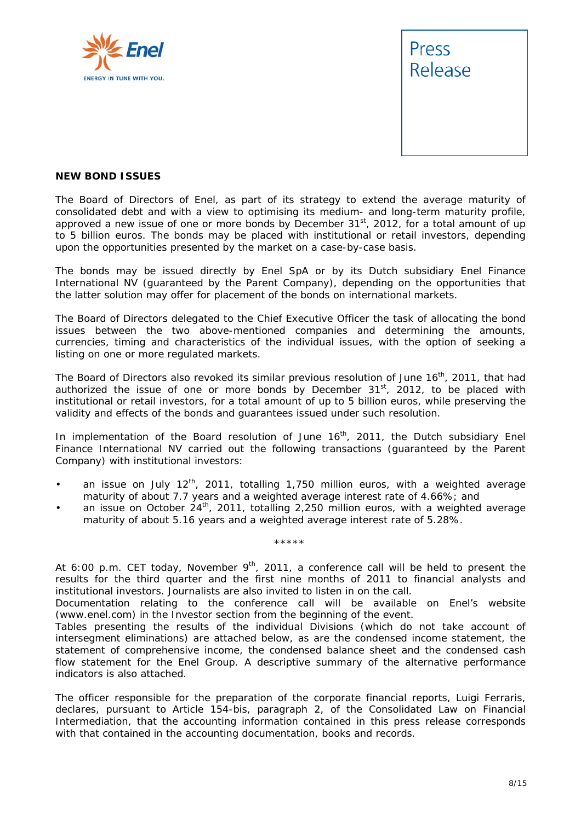



#### **NEW BOND ISSUES**

The Board of Directors of Enel, as part of its strategy to extend the average maturity of consolidated debt and with a view to optimising its medium- and long-term maturity profile, approved a new issue of one or more bonds by December 31<sup>st</sup>, 2012, for a total amount of up to 5 billion euros. The bonds may be placed with institutional or retail investors, depending upon the opportunities presented by the market on a case-by-case basis.

The bonds may be issued directly by Enel SpA or by its Dutch subsidiary Enel Finance International NV (guaranteed by the Parent Company), depending on the opportunities that the latter solution may offer for placement of the bonds on international markets.

The Board of Directors delegated to the Chief Executive Officer the task of allocating the bond issues between the two above-mentioned companies and determining the amounts, currencies, timing and characteristics of the individual issues, with the option of seeking a listing on one or more regulated markets.

The Board of Directors also revoked its similar previous resolution of June 16<sup>th</sup>, 2011, that had authorized the issue of one or more bonds by December  $31<sup>st</sup>$ , 2012, to be placed with institutional or retail investors, for a total amount of up to 5 billion euros, while preserving the validity and effects of the bonds and guarantees issued under such resolution.

In implementation of the Board resolution of June  $16<sup>th</sup>$ , 2011, the Dutch subsidiary Enel Finance International NV carried out the following transactions (guaranteed by the Parent Company) with institutional investors:

- an issue on July  $12<sup>th</sup>$ , 2011, totalling 1,750 million euros, with a weighted average maturity of about 7.7 years and a weighted average interest rate of 4.66%; and
- an issue on October 24<sup>th</sup>, 2011, totalling 2,250 million euros, with a weighted average maturity of about 5.16 years and a weighted average interest rate of 5.28%.

\*\*\*\*\*

At 6:00 p.m. CET today, November 9<sup>th</sup>, 2011, a conference call will be held to present the *results for the third quarter and the first nine months of 2011 to financial analysts and institutional investors. Journalists are also invited to listen in on the call.* 

*Documentation relating to the conference call will be available on Enel's website (www.enel.com) in the Investor section from the beginning of the event.* 

*Tables presenting the results of the individual Divisions (which do not take account of intersegment eliminations) are attached below, as are the condensed income statement, the statement of comprehensive income, the condensed balance sheet and the condensed cash flow statement for the Enel Group. A descriptive summary of the alternative performance indicators is also attached.* 

*The officer responsible for the preparation of the corporate financial reports, Luigi Ferraris, declares, pursuant to Article 154-bis, paragraph 2, of the Consolidated Law on Financial Intermediation, that the accounting information contained in this press release corresponds with that contained in the accounting documentation, books and records.*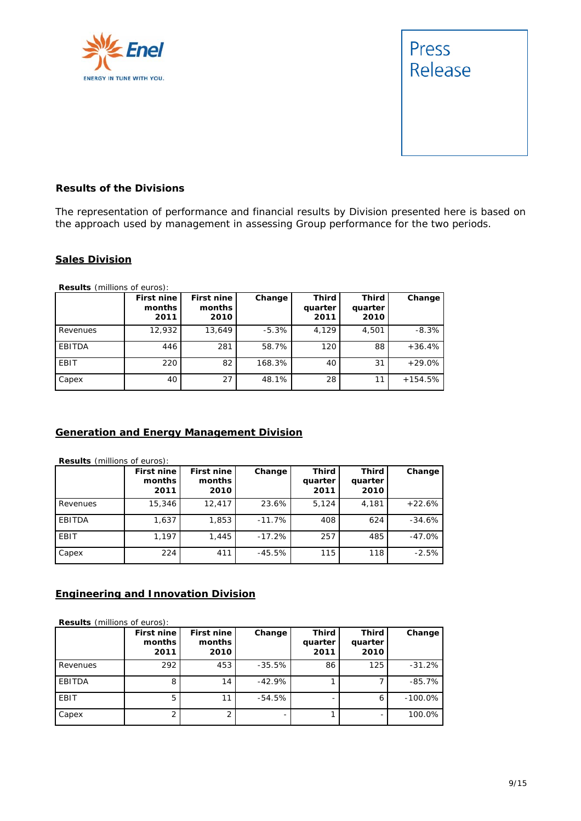



#### **Results of the Divisions**

The representation of performance and financial results by Division presented here is based on the approach used by management in assessing Group performance for the two periods.

#### **Sales Division**

**Results** (millions of euros):

|             | First nine<br>months<br>2011 | First nine<br>months<br>2010 | Change  | <b>Third</b><br>quarter<br>2011 | Third<br>quarter<br>2010 | Change    |
|-------------|------------------------------|------------------------------|---------|---------------------------------|--------------------------|-----------|
| Revenues    | 12,932                       | 13.649                       | $-5.3%$ | 4,129                           | 4,501                    | $-8.3%$   |
| EBITDA      | 446                          | 281                          | 58.7%   | 120                             | 88                       | $+36.4%$  |
| <b>EBIT</b> | 220                          | 82                           | 168.3%  | 40                              | 31                       | $+29.0\%$ |
| Capex       | 40                           | 27                           | 48.1%   | 28                              | 11                       | $+154.5%$ |

#### **Generation and Energy Management Division**

**Results** (millions of euros):

|          | First nine<br>months<br>2011 | First nine<br>months<br>2010 | Change   | <b>Third</b><br>quarter<br>2011 | <b>Third</b><br>quarter<br>2010 | Change   |
|----------|------------------------------|------------------------------|----------|---------------------------------|---------------------------------|----------|
| Revenues | 15,346                       | 12,417                       | 23.6%    | 5,124                           | 4,181                           | $+22.6%$ |
| EBITDA   | 1,637                        | 1,853                        | $-11.7%$ | 408                             | 624                             | $-34.6%$ |
| EBIT     | 1,197                        | 1,445                        | $-17.2%$ | 257                             | 485                             | $-47.0%$ |
| Capex    | 224                          | 411                          | $-45.5%$ | 115                             | 118                             | $-2.5%$  |

#### **Engineering and Innovation Division**

**Results** (millions of euros):

|          | First nine<br>months<br>2011 | First nine<br>months<br>2010 | Change    | Third<br>quarter<br>2011 | <b>Third</b><br>quarter<br>2010 | Change    |
|----------|------------------------------|------------------------------|-----------|--------------------------|---------------------------------|-----------|
| Revenues | 292                          | 453                          | $-35.5\%$ | 86                       | 125                             | $-31.2%$  |
| EBITDA   | 8                            | 14                           | $-42.9%$  |                          |                                 | $-85.7%$  |
| EBIT     | 5                            |                              | $-54.5%$  |                          | 6                               | $-100.0%$ |
| Capex    |                              |                              | -         |                          |                                 | 100.0%    |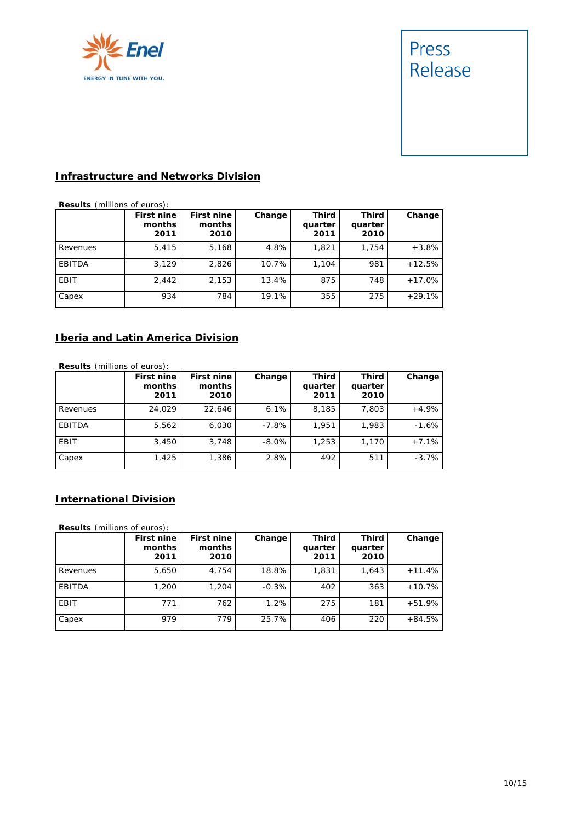

# Press Release

#### **Infrastructure and Networks Division**

**Results** (millions of euros):

|          | First nine<br>months<br>2011 | First nine<br>months<br>2010 | Change | <b>Third</b><br>quarter<br>2011 | Third<br>quarter<br>2010 | Change   |
|----------|------------------------------|------------------------------|--------|---------------------------------|--------------------------|----------|
| Revenues | 5,415                        | 5,168                        | 4.8%   | 1,821                           | 1.754                    | $+3.8%$  |
| EBITDA   | 3,129                        | 2,826                        | 10.7%  | 1,104                           | 981                      | $+12.5%$ |
| EBIT     | 2.442                        | 2,153                        | 13.4%  | 875                             | 748                      | $+17.0%$ |
| Capex    | 934                          | 784                          | 19.1%  | 355                             | 275                      | $+29.1%$ |

#### **Iberia and Latin America Division**

**Results** (millions of euros):

|          | First nine<br>months<br>2011 | First nine<br>months<br>2010 | Change   | <b>Third</b><br>quarter<br>2011 | <b>Third</b><br>quarter<br>2010 | Change  |
|----------|------------------------------|------------------------------|----------|---------------------------------|---------------------------------|---------|
| Revenues | 24.029                       | 22.646                       | 6.1%     | 8,185                           | 7,803                           | $+4.9%$ |
| EBITDA   | 5,562                        | 6,030                        | $-7.8\%$ | 1,951                           | 1,983                           | $-1.6%$ |
| EBIT     | 3,450                        | 3,748                        | $-8.0\%$ | 1,253                           | 1,170                           | $+7.1%$ |
| Capex    | 1,425                        | 1,386                        | 2.8%     | 492                             | 511                             | $-3.7%$ |

#### **International Division**

**Results** (millions of euros):

|             | First nine<br>months<br>2011 | First nine<br>months<br>2010 | Change  | Third<br>quarter<br>2011 | <b>Third</b><br>quarter<br>2010 | Change   |
|-------------|------------------------------|------------------------------|---------|--------------------------|---------------------------------|----------|
| Revenues    | 5,650                        | 4,754                        | 18.8%   | 1,831                    | 1,643                           | $+11.4%$ |
| EBITDA      | 1,200                        | 1,204                        | $-0.3%$ | 402                      | 363                             | $+10.7%$ |
| <b>EBIT</b> | 771                          | 762                          | 1.2%    | 275                      | 181                             | $+51.9%$ |
| Capex       | 979                          | 779                          | 25.7%   | 406                      | 220                             | $+84.5%$ |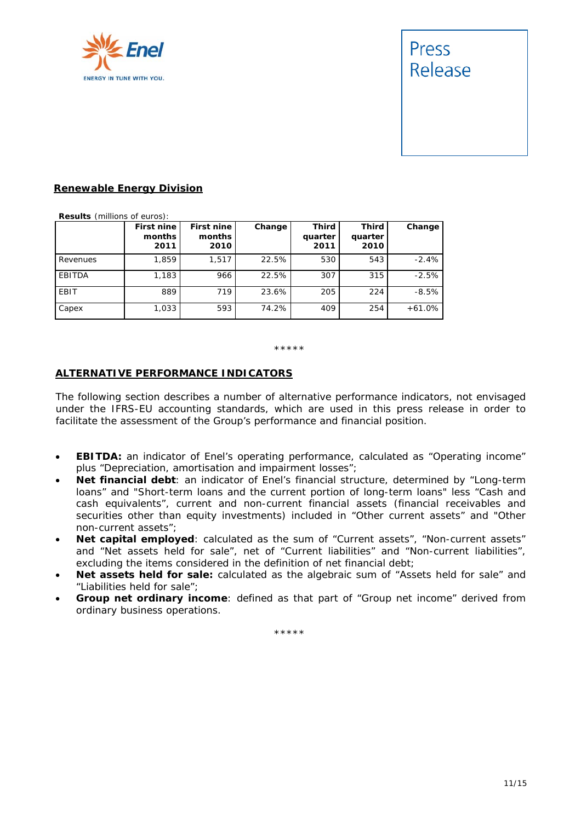

# Press Release

#### **Renewable Energy Division**

**Results** (millions of euros):

|          | First nine<br>months<br>2011 | First nine<br>months<br>2010 | Change | <b>Third</b><br>quarter<br>2011 | <b>Third</b><br>quarter<br>2010 | Change   |
|----------|------------------------------|------------------------------|--------|---------------------------------|---------------------------------|----------|
| Revenues | 1,859                        | 1,517                        | 22.5%  | 530                             | 543                             | $-2.4%$  |
| EBITDA   | 1,183                        | 966                          | 22.5%  | 307                             | 315                             | $-2.5%$  |
| EBIT     | 889                          | 719                          | 23.6%  | 205                             | 224                             | $-8.5%$  |
| Capex    | 1,033                        | 593                          | 74.2%  | 409                             | 254                             | $+61.0%$ |

\*\*\*\*\*

#### **ALTERNATIVE PERFORMANCE INDICATORS**

The following section describes a number of alternative performance indicators, not envisaged under the IFRS-EU accounting standards, which are used in this press release in order to facilitate the assessment of the Group's performance and financial position.

- **EBITDA:** an indicator of Enel's operating performance, calculated as "Operating income" plus "Depreciation, amortisation and impairment losses";
- **Net financial debt**: an indicator of Enel's financial structure, determined by "Long-term loans" and "Short-term loans and the current portion of long-term loans" less "Cash and cash equivalents", current and non-current financial assets (financial receivables and securities other than equity investments) included in "Other current assets" and "Other non-current assets";
- **Net capital employed**: calculated as the sum of "Current assets", "Non-current assets" and "Net assets held for sale", net of "Current liabilities" and "Non-current liabilities", excluding the items considered in the definition of net financial debt;
- **Net assets held for sale:** calculated as the algebraic sum of "Assets held for sale" and "Liabilities held for sale";
- **Group net ordinary income**: defined as that part of "Group net income" derived from ordinary business operations.

\*\*\*\*\*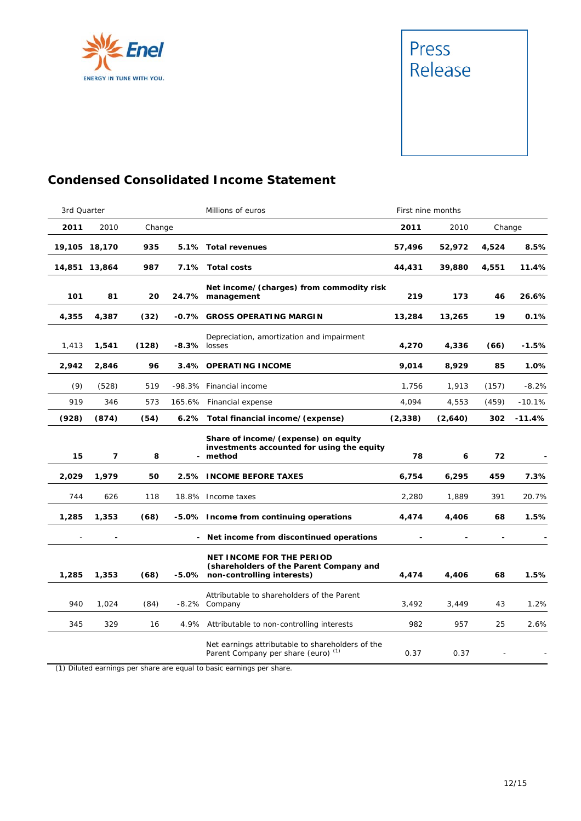



## **Condensed Consolidated Income Statement**

| 3rd Quarter |               |        |              | Millions of euros                                                                                               |          | First nine months |        |          |
|-------------|---------------|--------|--------------|-----------------------------------------------------------------------------------------------------------------|----------|-------------------|--------|----------|
| 2011        | 2010          | Change |              |                                                                                                                 | 2011     | 2010              | Change |          |
|             | 19,105 18,170 | 935    |              | 5.1% Total revenues                                                                                             | 57,496   | 52,972            | 4,524  | 8.5%     |
|             | 14,851 13,864 | 987    |              | 7.1% Total costs                                                                                                | 44,431   | 39,880            | 4,551  | 11.4%    |
| 101         | 81            | 20     |              | Net income/(charges) from commodity risk<br>24.7% management                                                    | 219      | 173               | 46     | 26.6%    |
| 4,355       | 4,387         | (32)   |              | -0.7% GROSS OPERATING MARGIN                                                                                    | 13,284   | 13,265            | 19     | 0.1%     |
| 1,413       | 1,541         | (128)  | -8.3% losses | Depreciation, amortization and impairment                                                                       | 4,270    | 4,336             | (66)   | -1.5%    |
| 2,942       | 2,846         | 96     |              | 3.4% OPERATING INCOME                                                                                           | 9,014    | 8,929             | 85     | 1.0%     |
| (9)         | (528)         | 519    |              | -98.3% Financial income                                                                                         | 1,756    | 1,913             | (157)  | $-8.2%$  |
| 919         | 346           | 573    |              | 165.6% Financial expense                                                                                        | 4,094    | 4,553             | (459)  | $-10.1%$ |
| (928)       | (874)         | (54)   |              | 6.2% Total financial income/(expense)                                                                           | (2, 338) | (2,640)           | 302    | $-11.4%$ |
| 15          | 7             | 8      |              | Share of income/(expense) on equity<br>investments accounted for using the equity<br>- method                   | 78       | 6                 | 72     |          |
| 2,029       | 1,979         | 50     |              | 2.5% INCOME BEFORE TAXES                                                                                        | 6,754    | 6,295             | 459    | 7.3%     |
| 744         | 626           | 118    |              | 18.8% Income taxes                                                                                              | 2,280    | 1,889             | 391    | 20.7%    |
| 1,285       | 1,353         | (68)   |              | -5.0% Income from continuing operations                                                                         | 4,474    | 4,406             | 68     | 1.5%     |
|             |               |        |              | - Net income from discontinued operations                                                                       |          |                   |        |          |
| 1,285       | 1,353         | (68)   |              | <b>NET INCOME FOR THE PERIOD</b><br>(shareholders of the Parent Company and<br>-5.0% non-controlling interests) | 4,474    | 4,406             | 68     | 1.5%     |
| 940         | 1,024         | (84)   |              | Attributable to shareholders of the Parent<br>-8.2% Company                                                     | 3,492    | 3,449             | 43     | 1.2%     |
| 345         | 329           | 16     |              | 4.9% Attributable to non-controlling interests                                                                  | 982      | 957               | 25     | 2.6%     |
|             |               |        |              |                                                                                                                 |          |                   |        |          |

(1) Diluted earnings per share are equal to basic earnings per share.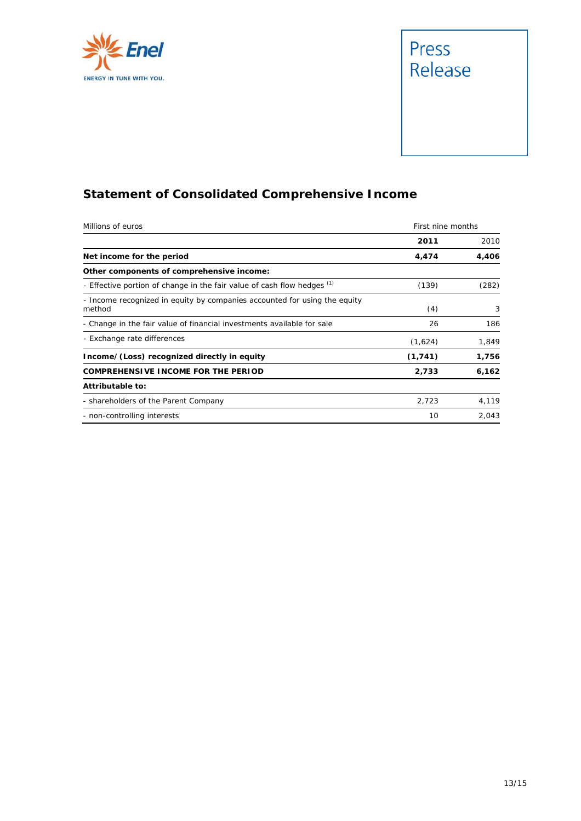



# **Statement of Consolidated Comprehensive Income**

| Millions of euros                                                                   | First nine months |       |  |
|-------------------------------------------------------------------------------------|-------------------|-------|--|
|                                                                                     | 2011              | 2010  |  |
| Net income for the period                                                           | 4,474             | 4,406 |  |
| Other components of comprehensive income:                                           |                   |       |  |
| - Effective portion of change in the fair value of cash flow hedges (1)             | (139)             | (282) |  |
| - Income recognized in equity by companies accounted for using the equity<br>method | (4)               | 3     |  |
| - Change in the fair value of financial investments available for sale              | 26                | 186   |  |
| - Exchange rate differences                                                         | (1,624)           | 1,849 |  |
| Income/(Loss) recognized directly in equity                                         | (1, 741)          | 1,756 |  |
| COMPREHENSIVE INCOME FOR THE PERIOD                                                 | 2,733             | 6,162 |  |
| Attributable to:                                                                    |                   |       |  |
| - shareholders of the Parent Company                                                | 2,723             | 4,119 |  |
| - non-controlling interests                                                         | 10                | 2,043 |  |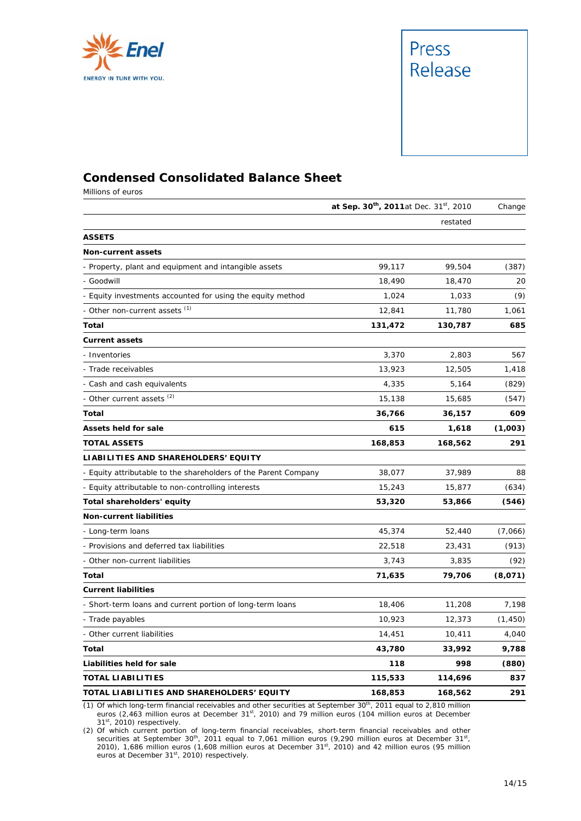



## **Condensed Consolidated Balance Sheet**

Millions of euros

|                                                                 |         | at Sep. 30th, 2011at Dec. 31st, 2010 |          |  |
|-----------------------------------------------------------------|---------|--------------------------------------|----------|--|
|                                                                 |         | restated                             |          |  |
| <b>ASSETS</b>                                                   |         |                                      |          |  |
| <b>Non-current assets</b>                                       |         |                                      |          |  |
| - Property, plant and equipment and intangible assets           | 99,117  | 99,504                               | (387)    |  |
| - Goodwill                                                      | 18,490  | 18,470                               | 20       |  |
| - Equity investments accounted for using the equity method      | 1,024   | 1,033                                | (9)      |  |
| - Other non-current assets (1)                                  | 12,841  | 11,780                               | 1,061    |  |
| Total                                                           | 131,472 | 130,787                              | 685      |  |
| <b>Current assets</b>                                           |         |                                      |          |  |
| - Inventories                                                   | 3,370   | 2,803                                | 567      |  |
| - Trade receivables                                             | 13,923  | 12,505                               | 1,418    |  |
| - Cash and cash equivalents                                     | 4,335   | 5,164                                | (829)    |  |
| - Other current assets <sup>(2)</sup>                           | 15,138  | 15,685                               | (547)    |  |
| <b>Total</b>                                                    | 36,766  | 36,157                               | 609      |  |
| <b>Assets held for sale</b>                                     | 615     | 1,618                                | (1,003)  |  |
| TOTAL ASSETS                                                    | 168,853 | 168,562                              | 291      |  |
| LIABILITIES AND SHAREHOLDERS' EQUITY                            |         |                                      |          |  |
| - Equity attributable to the shareholders of the Parent Company | 38,077  | 37,989                               | 88       |  |
| - Equity attributable to non-controlling interests              | 15,243  | 15,877                               | (634)    |  |
| Total shareholders' equity                                      | 53,320  | 53,866                               | (546)    |  |
| <b>Non-current liabilities</b>                                  |         |                                      |          |  |
| - Long-term loans                                               | 45,374  | 52,440                               | (7,066)  |  |
| - Provisions and deferred tax liabilities                       | 22,518  | 23,431                               | (913)    |  |
| - Other non-current liabilities                                 | 3,743   | 3,835                                | (92)     |  |
| Total                                                           | 71,635  | 79,706                               | (8,071)  |  |
| <b>Current liabilities</b>                                      |         |                                      |          |  |
| Short-term loans and current portion of long-term loans         | 18,406  | 11,208                               | 7,198    |  |
| - Trade payables                                                | 10,923  | 12,373                               | (1, 450) |  |
| - Other current liabilities                                     | 14,451  | 10,411                               | 4,040    |  |
| Total                                                           | 43,780  | 33,992                               | 9,788    |  |
| Liabilities held for sale                                       | 118     | 998                                  | (880)    |  |
| <b>TOTAL LIABILITIES</b>                                        | 115,533 | 114,696                              | 837      |  |
| TOTAL LIABILITIES AND SHAREHOLDERS' EQUITY                      | 168,853 | 168,562                              | 291      |  |

(1) Of which long-term financial receivables and other securities at September  $30<sup>th</sup>$ , 2011 equal to 2,810 million euros (2,463 million euros at December 31<sup>st</sup>, 2010) and 79 million euros (104 million euros at December 31st, 2010) respectively.

(2) Of which current portion of long-term financial receivables, short-term financial receivables and other securities at September 30<sup>th</sup>, 2011 equal to 7,061 million euros (9,290 million euros at December 31<sup>st</sup>, 2010), 1,686 million euros (1,608 million euros at December 31<sup>st</sup>, 2010) and 42 million euros (95 million euros at December 31<sup>st</sup>, 2010) respectively.